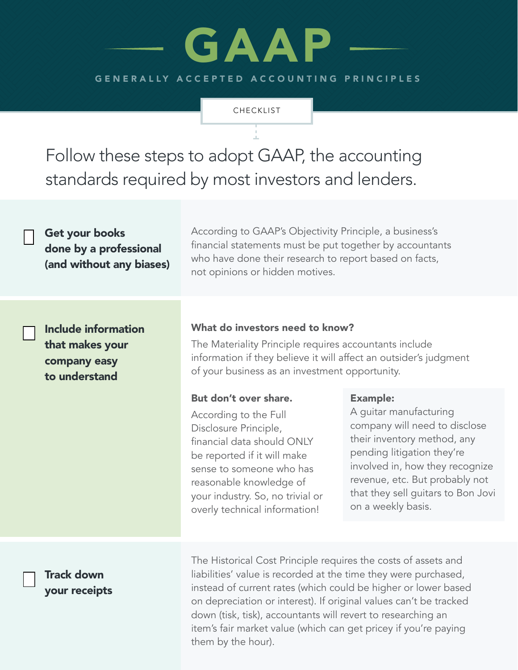# GENERALLY ACCEPTED ACCOUNTING PRINCIPLES GAAP

**CHECKLIST** 

Follow these steps to adopt GAAP, the accounting standards required by most investors and lenders.

| Get your books<br>done by a professional<br>(and without any biases)    | According to GAAP's Objectivity Principle, a business's<br>financial statements must be put together by accountants<br>who have done their research to report based on facts,<br>not opinions or hidden motives.                                                 |                                                                                                                                                                                                                                                                          |
|-------------------------------------------------------------------------|------------------------------------------------------------------------------------------------------------------------------------------------------------------------------------------------------------------------------------------------------------------|--------------------------------------------------------------------------------------------------------------------------------------------------------------------------------------------------------------------------------------------------------------------------|
| Include information<br>that makes your<br>company easy<br>to understand | What do investors need to know?<br>The Materiality Principle requires accountants include<br>information if they believe it will affect an outsider's judgment<br>of your business as an investment opportunity.                                                 |                                                                                                                                                                                                                                                                          |
|                                                                         | But don't over share.<br>According to the Full<br>Disclosure Principle,<br>financial data should ONLY<br>be reported if it will make<br>sense to someone who has<br>reasonable knowledge of<br>your industry. So, no trivial or<br>overly technical information! | <b>Example:</b><br>A guitar manufacturing<br>company will need to disclose<br>their inventory method, any<br>pending litigation they're<br>involved in, how they recognize<br>revenue, etc. But probably not<br>that they sell guitars to Bon Jovi<br>on a weekly basis. |
| <b>Track down</b>                                                       | The Historical Cost Principle requires the costs of assets and<br>liabilities' value is recorded at the time they were purchased,                                                                                                                                |                                                                                                                                                                                                                                                                          |

your receipts

liabilities' value is recorded at the time they were purchased, instead of current rates (which could be higher or lower based on depreciation or interest). If original values can't be tracked down (tisk, tisk), accountants will revert to researching an item's fair market value (which can get pricey if you're paying them by the hour).